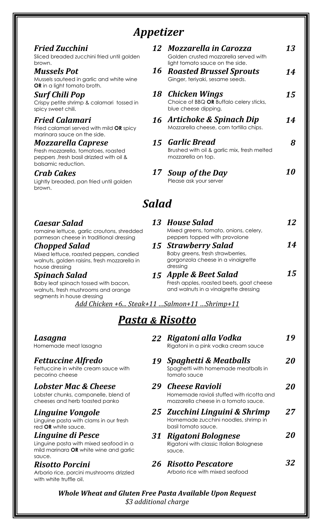# *Appetizer*

| <b>Fried Zucchini</b><br>Sliced breaded zucchini fried until golden<br>brown.                                                       | 12           | <b>Mozzarella in Carozza</b><br>Golden crusted mozzarella served with<br>light tomato sauce on the side. | 13 |
|-------------------------------------------------------------------------------------------------------------------------------------|--------------|----------------------------------------------------------------------------------------------------------|----|
| <b>Mussels Pot</b><br>Mussels sauteed in garlic and white wine<br><b>OR</b> in a light tomato broth.                                | 16           | <b>Roasted Brussel Sprouts</b><br>Ginger, teriyaki, sesame seeds.                                        | 14 |
| Surf Chili Pop<br>Crispy petite shrimp & calamari tossed in<br>spicy sweet chili.                                                   | 18           | Chicken Wings<br>Choice of BBQ OR Buffalo celery sticks,<br>blue cheese dipping.                         | 15 |
| <b>Fried Calamari</b><br>Fried calamari served with mild OR spicy<br>marinara sauce on the side.                                    |              | 16 Artichoke & Spinach Dip<br>Mozzarella cheese, corn tortilla chips.                                    | 14 |
| <b>Mozzarella Caprese</b><br>Fresh mozzarella, tomatoes, roasted<br>peppers, fresh basil drizzled with oil &<br>balsamic reduction. |              | 15 Garlic Bread<br>Brushed with oil & garlic mix, fresh melted<br>mozzarella on top.                     | 8  |
| <b>Crab Cakes</b><br>Lightly breaded, pan fried until golden<br>brown.                                                              | 17           | <b>Soup of the Day</b><br>Please ask your server                                                         | 10 |
|                                                                                                                                     | <b>Salad</b> |                                                                                                          |    |
| Caesar Salad<br>romaine lettuce, garlic croutons, shredded                                                                          | 13           | <b>House Salad</b><br>Mixed greens, tomato, onions, celery,                                              | 12 |

romaine lettuce, garlic croutons, shredded parmesan cheese in traditional dressing

*Chopped Salad* Mixed lettuce, roasted peppers, candied walnuts, golden raisins, fresh mozzarella in house dressing

*Spinach Salad* Baby leaf spinach tossed with bacon, walnuts, fresh mushrooms and orange segments in house dressing

*Add Chicken +6... Steak+11 …Salmon+11 …Shrimp+11*

*Pasta & Risotto*

*15 Strawberry Salad*

peppers topped with provolone

Baby greens, fresh strawberries, gorgonzola cheese in a vinaigrette

Fresh apples, roasted beets, goat cheese and walnuts in a vinaigrette dressing

*14*

*15* 

*15 Apple & Beet Salad*

dressing

#### *22 Rigatoni alla Vodka 19Spaghetti & Meatballs 29 Cheese Ravioli 25Zucchini Linguini & Shrimp 31 Rigatoni Bolognese 26Risotto Pescatore* Rigatoni in a pink vodka cream sauce Spaghetti with homemade meatballs in tomato sauce Homemade ravioli stuffed with ricotta and mozzarella cheese in a tomato sauce. Homemade zucchini noodles, shrimp in basil tomato sauce. Rigatoni with classic Italian Bolognese sauce. Arborio rice with mixed seafood *19 20 20 2720 32*

*Whole Wheat and Gluten Free Pasta Available Upon Request \$3 additional charge*

## *Lasagna*

Homemade meat lasagna

## *Fettuccine Alfredo*

Fettuccine in white cream sauce with pecorino cheese

## *Lobster Mac & Cheese*

Lobster chunks, campanelle, blend of cheeses and herb toasted panko

## *Linguine Vongole*

Linguine pasta with clams in our fresh red **OR** white sauce.

#### *Linguine di Pesce*  Linguine pasta with mixed seafood in a

mild marinara **OR** white wine and garlic sauce.

#### *Risotto Porcini*  Arborio rice, porcini mushrooms drizzled

with white truffle oil.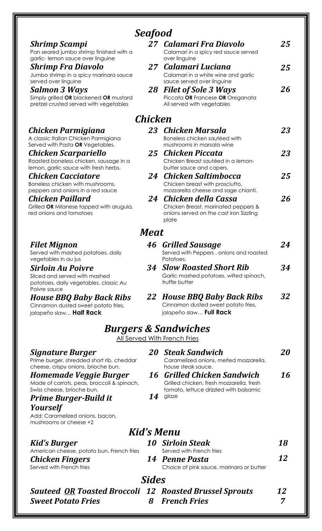| <b>Shrimp Scampi</b><br>Pan seared jumbo shrimp finished with a<br>garlic-lemon sauce over linguine      | 27      | Calamari Fra Diavolo<br>Calamari in a spicy red sauce served                                  | 25        |  |
|----------------------------------------------------------------------------------------------------------|---------|-----------------------------------------------------------------------------------------------|-----------|--|
| <b>Shrimp Fra Diavolo</b><br>Jumbo shrimp in a spicy marinara sauce                                      | 27      | over linguine<br>Calamari Luciana<br>Calamari in a white wine and garlic                      | 25        |  |
| served over linguine                                                                                     |         | sauce served over linguine                                                                    |           |  |
| <b>Salmon 3 Ways</b><br>Simply grilled OR blackened OR mustard<br>pretzel crusted served with vegetables | 28      | <b>Filet of Sole 3 Ways</b><br>Piccata OR Francese OR Oreganata<br>All served with vegetables | 26        |  |
|                                                                                                          | Chicken |                                                                                               |           |  |
| Chicken Parmigiana                                                                                       | 23      | Chicken Marsala                                                                               | 23        |  |
| A classic Italian Chicken Parmigiana<br>Served with Pasta OR Vegetables.                                 |         | Boneless chicken sautéed with<br>mushrooms in marsala wine                                    |           |  |
| Chicken Scarpariello                                                                                     | 25      | <b>Chicken Piccata</b>                                                                        | 23        |  |
| Roasted boneless chicken, sausage in a                                                                   |         | Chicken Breast sautéed in a lemon-                                                            |           |  |
| lemon, garlic sauce with fresh herbs.<br><b>Chicken Cacciatore</b>                                       | 24      | butter sauce and capers.<br><b>Chicken Saltimbocca</b>                                        | 25        |  |
| Boneless chicken with mushrooms,                                                                         |         | Chicken breast with prosciutto,                                                               |           |  |
| peppers and onions in a red sauce                                                                        |         | mozzarella cheese and sage chianti.                                                           |           |  |
| Chicken Paillard                                                                                         | 24      | Chicken della Cassa                                                                           | 26        |  |
| Grilled OR Milanese topped with arugula,<br>red onions and tomatoes                                      |         | Chicken Breast, marinated peppers &<br>onions served on the cast iron Sizzling<br>plate       |           |  |
|                                                                                                          | Meat    |                                                                                               |           |  |
| <b>Filet Mignon</b>                                                                                      | 46      | <b>Grilled Sausage</b>                                                                        | 24        |  |
| Served with mashed potatoes, daily<br>vegetables in au jus                                               |         | Served with Peppers, onions and roasted<br>Potatoes.                                          |           |  |
| <b>Sirloin Au Poivre</b>                                                                                 | 34      | <b>Slow Roasted Short Rib</b>                                                                 | 34        |  |
| Sliced and served with mashed<br>potatoes, daily vegetables, classic Au<br>Poivre sauce                  |         | Garlic mashed potatoes, wilted spinach,<br>truffle butter                                     |           |  |
| <b>House BBQ Baby Back Ribs</b>                                                                          |         | 22 House BBQ Baby Back Ribs                                                                   | 32        |  |
| Cinnamon dusted sweet potato fries,<br>jalapeño slaw <b>Half Rack</b>                                    |         | Cinnamon dusted sweet potato fries,<br>jalapeño slaw Full Rack                                |           |  |
|                                                                                                          |         | <b>Burgers &amp; Sandwiches</b>                                                               |           |  |
|                                                                                                          |         | All Served With French Fries                                                                  |           |  |
| Signature Burger<br>Prime burger, shredded short rib, cheddar<br>cheese, crispy onions, brioche bun.     | 20      | <b>Steak Sandwich</b><br>Caramelized onions, melted mozzarella,<br>house steak sauce.         | <i>20</i> |  |
| Homemade Veggie Burger                                                                                   | 16      | <b>Grilled Chicken Sandwich</b>                                                               | 16        |  |
| Made of carrots, peas, broccoli & spinach,<br>Swiss cheese, brioche bun.                                 |         | Grilled chicken, fresh mozzarella, fresh<br>tomato, lettuce drizzled with balsamic            |           |  |
| <b>Prime Burger-Build it</b>                                                                             | 14      | glaze                                                                                         |           |  |
| <b>Yourself</b><br>Add: Caramelized onions, bacon,<br>mushrooms or cheese +2                             |         |                                                                                               |           |  |
|                                                                                                          |         | Kid's Menu                                                                                    |           |  |
| <b>Kid's Burger</b>                                                                                      |         | <b>10 Sirloin Steak</b>                                                                       | 18        |  |
| American cheese, potato bun, French fries                                                                |         | Served with French fries                                                                      |           |  |
| <b>Chicken Fingers</b><br>Served with French fries                                                       |         | 14 Penne Pasta<br>Choice of pink sauce, marinara or butter                                    | 12        |  |
| <b>Sides</b>                                                                                             |         |                                                                                               |           |  |
| <b>Sauteed OR Toasted Broccoli 12 Roasted Brussel Sprouts</b>                                            |         |                                                                                               | 12        |  |
| <b>Sweet Potato Fries</b>                                                                                | 8       | <b>French Fries</b>                                                                           | 7         |  |

# *Seafood*